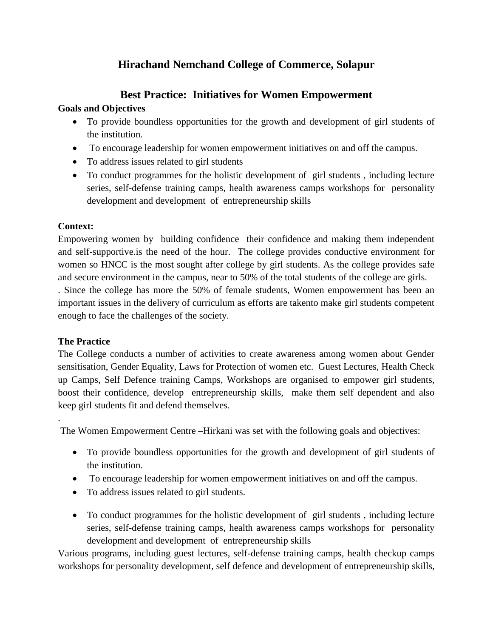# **Hirachand Nemchand College of Commerce, Solapur**

# **Best Practice: Initiatives for Women Empowerment**

## **Goals and Objectives**

- To provide boundless opportunities for the growth and development of girl students of the institution.
- To encourage leadership for women empowerment initiatives on and off the campus.
- To address issues related to girl students
- To conduct programmes for the holistic development of girl students , including lecture series, self-defense training camps, health awareness camps workshops for personality development and development of entrepreneurship skills

## **Context:**

Empowering women by building confidence their confidence and making them independent and self-supportive.is the need of the hour. The college provides conductive environment for women so HNCC is the most sought after college by girl students. As the college provides safe and secure environment in the campus, near to 50% of the total students of the college are girls.

. Since the college has more the 50% of female students, Women empowerment has been an important issues in the delivery of curriculum as efforts are takento make girl students competent enough to face the challenges of the society.

## **The Practice**

.

The College conducts a number of activities to create awareness among women about Gender sensitisation, Gender Equality, Laws for Protection of women etc. Guest Lectures, Health Check up Camps, Self Defence training Camps, Workshops are organised to empower girl students, boost their confidence, develop entrepreneurship skills, make them self dependent and also keep girl students fit and defend themselves.

The Women Empowerment Centre –Hirkani was set with the following goals and objectives:

- To provide boundless opportunities for the growth and development of girl students of the institution.
- To encourage leadership for women empowerment initiatives on and off the campus.
- To address issues related to girl students.
- To conduct programmes for the holistic development of girl students , including lecture series, self-defense training camps, health awareness camps workshops for personality development and development of entrepreneurship skills

Various programs, including guest lectures, self-defense training camps, health checkup camps workshops for personality development, self defence and development of entrepreneurship skills,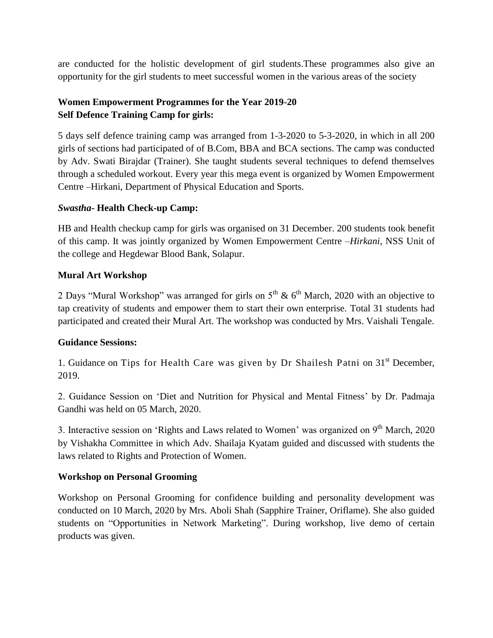are conducted for the holistic development of girl students.These programmes also give an opportunity for the girl students to meet successful women in the various areas of the society

# **Women Empowerment Programmes for the Year 2019-20 Self Defence Training Camp for girls:**

5 days self defence training camp was arranged from 1-3-2020 to 5-3-2020, in which in all 200 girls of sections had participated of of B.Com, BBA and BCA sections. The camp was conducted by Adv. Swati Birajdar (Trainer). She taught students several techniques to defend themselves through a scheduled workout. Every year this mega event is organized by Women Empowerment Centre –Hirkani, Department of Physical Education and Sports.

## *Swastha***- Health Check-up Camp:**

HB and Health checkup camp for girls was organised on 31 December. 200 students took benefit of this camp. It was jointly organized by Women Empowerment Centre –*Hirkani*, NSS Unit of the college and Hegdewar Blood Bank, Solapur.

## **Mural Art Workshop**

2 Days "Mural Workshop" was arranged for girls on  $5<sup>th</sup>$  &  $6<sup>th</sup>$  March, 2020 with an objective to tap creativity of students and empower them to start their own enterprise. Total 31 students had participated and created their Mural Art. The workshop was conducted by Mrs. Vaishali Tengale.

### **Guidance Sessions:**

1. Guidance on Tips for Health Care was given by Dr Shailesh Patni on 31<sup>st</sup> December, 2019.

2. Guidance Session on ‗Diet and Nutrition for Physical and Mental Fitness' by Dr. Padmaja Gandhi was held on 05 March, 2020.

3. Interactive session on 'Rights and Laws related to Women' was organized on  $9<sup>th</sup>$  March, 2020 by Vishakha Committee in which Adv. Shailaja Kyatam guided and discussed with students the laws related to Rights and Protection of Women.

### **Workshop on Personal Grooming**

Workshop on Personal Grooming for confidence building and personality development was conducted on 10 March, 2020 by Mrs. Aboli Shah (Sapphire Trainer, Oriflame). She also guided students on "Opportunities in Network Marketing". During workshop, live demo of certain products was given.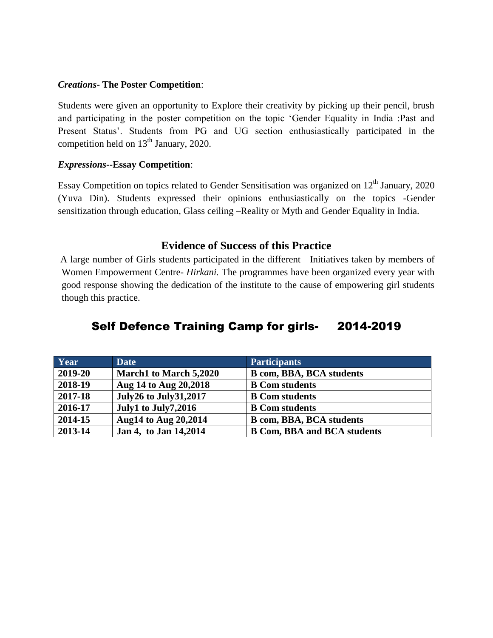### *Creations***- The Poster Competition**:

Students were given an opportunity to Explore their creativity by picking up their pencil, brush and participating in the poster competition on the topic 'Gender Equality in India :Past and Present Status'. Students from PG and UG section enthusiastically participated in the competition held on  $13<sup>th</sup>$  January, 2020.

### *Expressions--***Essay Competition**:

Essay Competition on topics related to Gender Sensitisation was organized on  $12<sup>th</sup>$  January, 2020 (Yuva Din). Students expressed their opinions enthusiastically on the topics -Gender sensitization through education, Glass ceiling –Reality or Myth and Gender Equality in India.

### **Evidence of Success of this Practice**

A large number of Girls students participated in the different Initiatives taken by members of Women Empowerment Centre- *Hirkani.* The programmes have been organized every year with good response showing the dedication of the institute to the cause of empowering girl students though this practice.

# Self Defence Training Camp for girls- 2014-2019

| Year    | <b>Date</b>                  | <b>Participants</b>                |
|---------|------------------------------|------------------------------------|
| 2019-20 | March1 to March 5,2020       | <b>B</b> com, BBA, BCA students    |
| 2018-19 | Aug 14 to Aug 20, 2018       | <b>B</b> Com students              |
| 2017-18 | <b>July26 to July31,2017</b> | <b>B</b> Com students              |
| 2016-17 | July1 to July7,2016          | <b>B</b> Com students              |
| 2014-15 | Aug14 to Aug 20, 2014        | <b>B</b> com, BBA, BCA students    |
| 2013-14 | Jan 4, to Jan 14,2014        | <b>B Com, BBA and BCA students</b> |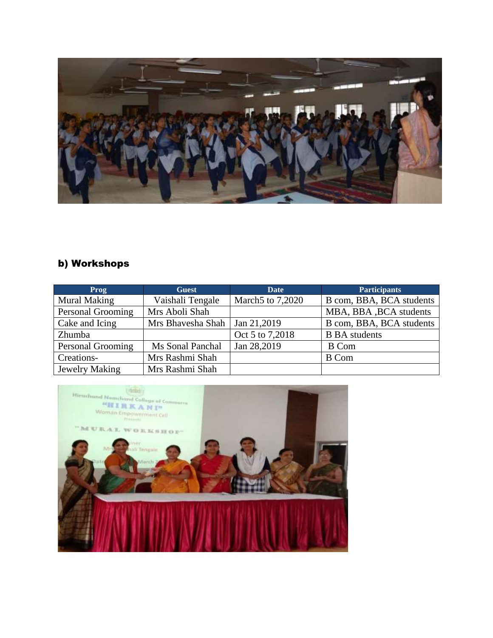

# b) Workshops

| Prog                  | <b>Guest</b>      | Date                         | <b>Participants</b>      |
|-----------------------|-------------------|------------------------------|--------------------------|
| Mural Making          | Vaishali Tengale  | March <sub>5</sub> to 7,2020 | B com, BBA, BCA students |
| Personal Grooming     | Mrs Aboli Shah    | MBA, BBA, BCA students       |                          |
| Cake and Icing        | Mrs Bhavesha Shah | Jan 21,2019                  | B com, BBA, BCA students |
| Zhumba                |                   | Oct 5 to 7,2018              | <b>B</b> BA students     |
| Personal Grooming     | Ms Sonal Panchal  | Jan 28,2019                  | <b>B</b> Com             |
| Creations-            | Mrs Rashmi Shah   |                              | <b>B</b> Com             |
| <b>Jewelry Making</b> | Mrs Rashmi Shah   |                              |                          |

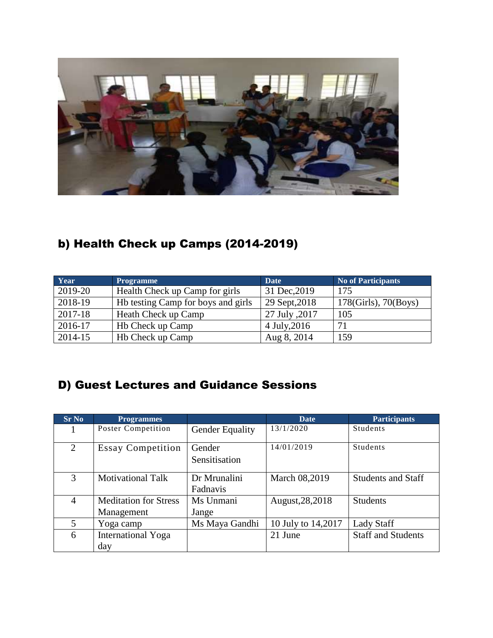

# b) Health Check up Camps (2014-2019)

| Year    | <b>Programme</b>                   | Date           | No of Participants   |
|---------|------------------------------------|----------------|----------------------|
| 2019-20 | Health Check up Camp for girls     | 31 Dec, 2019   | 175                  |
| 2018-19 | Hb testing Camp for boys and girls | 29 Sept, 2018  | 178(Girls), 70(Boys) |
| 2017-18 | Heath Check up Camp                | 27 July , 2017 | 105                  |
| 2016-17 | Hb Check up Camp                   | 4 July, 2016   | 71                   |
| 2014-15 | Hb Check up Camp                   | Aug 8, 2014    | 159                  |

# D) Guest Lectures and Guidance Sessions

| <b>Sr No</b>   | <b>Programmes</b>                          |                          | <b>Date</b>        | <b>Participants</b>       |
|----------------|--------------------------------------------|--------------------------|--------------------|---------------------------|
|                | Poster Competition                         | <b>Gender Equality</b>   | 13/1/2020          | <b>Students</b>           |
| $\overline{2}$ | <b>Essay Competition</b>                   | Gender<br>Sensitisation  | 14/01/2019         | <b>Students</b>           |
| 3              | <b>Motivational Talk</b>                   | Dr Mrunalini<br>Fadnavis | March 08,2019      | <b>Students and Staff</b> |
| 4              | <b>Meditation for Stress</b><br>Management | Ms Unmani<br>Jange       | August, 28, 2018   | <b>Students</b>           |
| 5              | Yoga camp                                  | Ms Maya Gandhi           | 10 July to 14,2017 | <b>Lady Staff</b>         |
| 6              | <b>International Yoga</b><br>day           |                          | 21 June            | <b>Staff and Students</b> |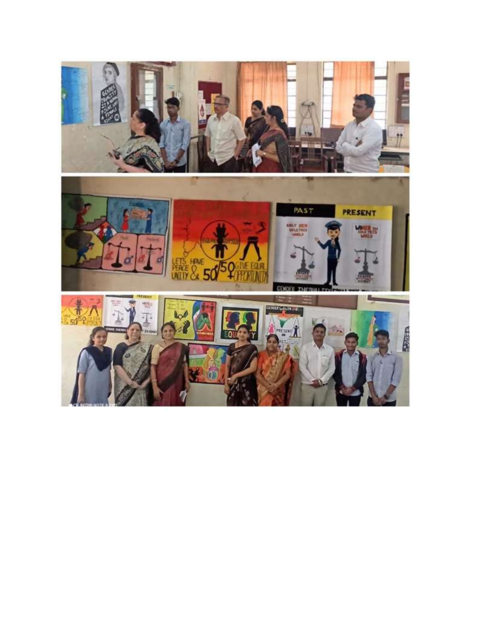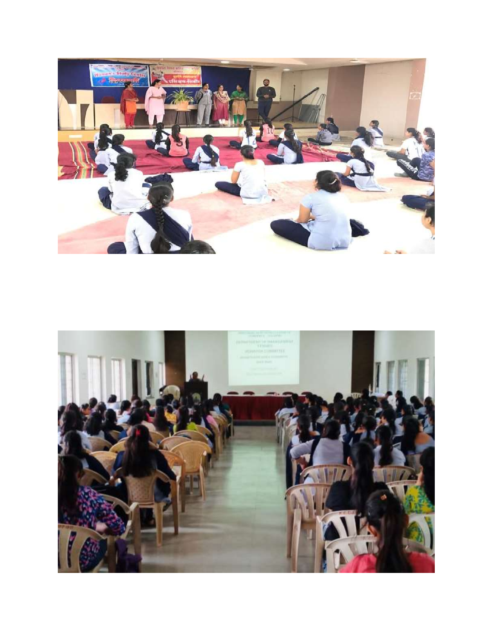

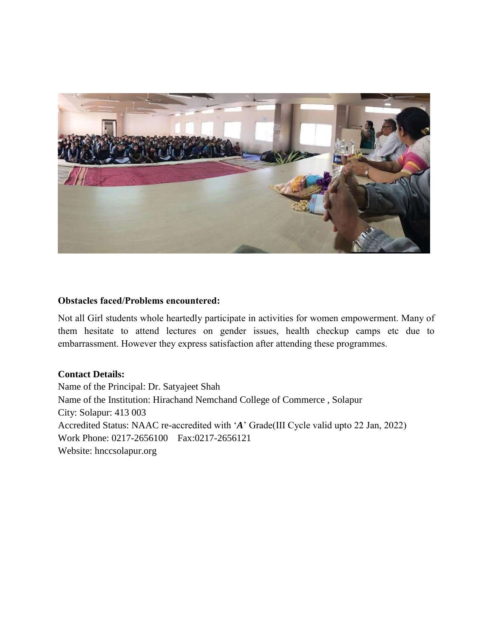

### **Obstacles faced/Problems encountered:**

Not all Girl students whole heartedly participate in activities for women empowerment. Many of them hesitate to attend lectures on gender issues, health checkup camps etc due to embarrassment. However they express satisfaction after attending these programmes.

### **Contact Details:**

Name of the Principal: Dr. Satyajeet Shah Name of the Institution: Hirachand Nemchand College of Commerce , Solapur City: Solapur: 413 003 Accredited Status: NAAC re-accredited with 'A' Grade(III Cycle valid upto 22 Jan, 2022) Work Phone: 0217-2656100 Fax:0217-2656121 Website: hnccsolapur.org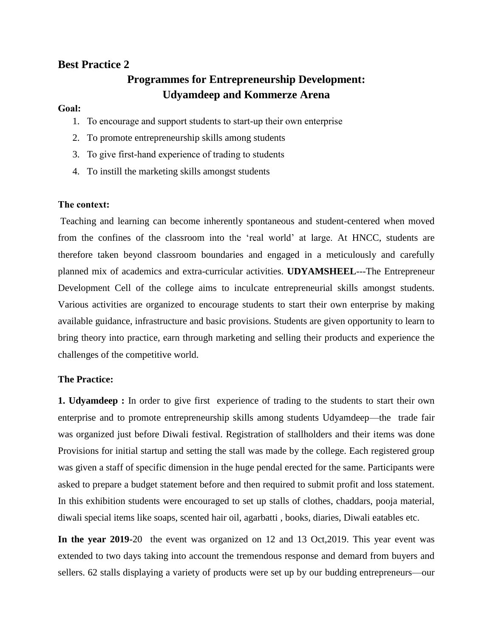## **Best Practice 2**

# **Programmes for Entrepreneurship Development: Udyamdeep and Kommerze Arena**

#### **Goal:**

- 1. To encourage and support students to start-up their own enterprise
- 2. To promote entrepreneurship skills among students
- 3. To give first-hand experience of trading to students
- 4. To instill the marketing skills amongst students

### **The context:**

Teaching and learning can become inherently spontaneous and student-centered when moved from the confines of the classroom into the 'real world' at large. At HNCC, students are therefore taken beyond classroom boundaries and engaged in a meticulously and carefully planned mix of academics and extra-curricular activities. **UDYAMSHEEL**---The Entrepreneur Development Cell of the college aims to inculcate entrepreneurial skills amongst students. Various activities are organized to encourage students to start their own enterprise by making available guidance, infrastructure and basic provisions. Students are given opportunity to learn to bring theory into practice, earn through marketing and selling their products and experience the challenges of the competitive world.

### **The Practice:**

**1. Udyamdeep :** In order to give first experience of trading to the students to start their own enterprise and to promote entrepreneurship skills among students Udyamdeep—the trade fair was organized just before Diwali festival. Registration of stallholders and their items was done Provisions for initial startup and setting the stall was made by the college. Each registered group was given a staff of specific dimension in the huge pendal erected for the same. Participants were asked to prepare a budget statement before and then required to submit profit and loss statement. In this exhibition students were encouraged to set up stalls of clothes, chaddars, pooja material, diwali special items like soaps, scented hair oil, agarbatti , books, diaries, Diwali eatables etc.

**In the year 2019-**20 the event was organized on 12 and 13 Oct,2019. This year event was extended to two days taking into account the tremendous response and demard from buyers and sellers. 62 stalls displaying a variety of products were set up by our budding entrepreneurs—our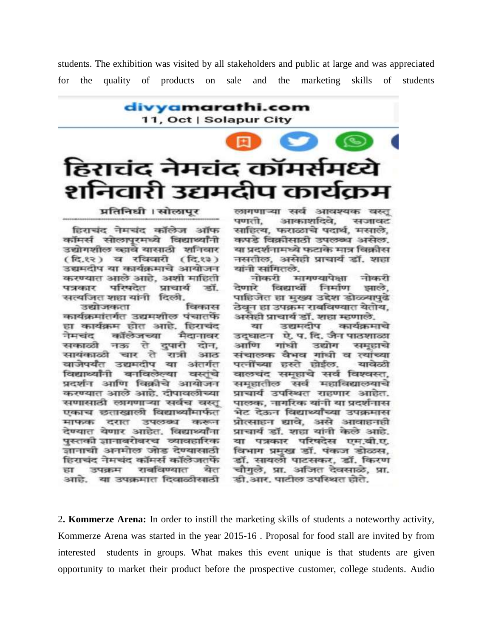students. The exhibition was visited by all stakeholders and public at large and was appreciated for the quality of products on sale and the marketing skills of students



प्रतिनिधी । सोलापुर

डिराचंद नेमचंद कॉलेज ऑफ कॉमर्स सोलापुरमध्ये विद्यार्थ्यांनी उद्योगशील व्हावे यासाठी शनिवार (दि.१२) व रविवारी (दि.१३) उद्यमदीप या कार्यक्रमाचे आयोजन करण्यात आले आहे. अशी माहिती प्राचार्य पत्रकार परिषदेत ज्या. सत्यजित शहा यांनी दिली.

उद्योजकता विकास कार्यक्रमांतर्गत उद्यमशील पंचातर्फ हा कार्यक्रम होत आहे. हिराचंद नेमचंद कॉलेजच्या मैदानावर सकाळी नक दुपारी दोन, त सायकाळी चार रो रात्री आठ वाजेपर्यंत उद्यमदीप या अंतर्गत विद्याथ्यांनी बनविलेल्या वस्तुचे प्रदर्शन आणि विक्रीचे आयोजन करण्यात आले आहे. दीपावलीच्या सणासाठी लागणाऱ्या सर्वच वस्तू एकाच छताखाली विद्यार्थ्यांमार्फत उपलब्ध करून माफक दरात देण्यात येणार आहेत. विद्यार्थ्यांना पुस्तको ज्ञानावरोबरच व्यावहारिक ज्ञानाची अनमोल जोड देण्यासाठी डिराचंद नेमचंद कॉमर्स कॉलेजतर्फे उपक्रम राबविण्यात येत डा आहे. या उपक्रमात दिवाळीसाठी

लागणाऱ्या सर्व आवश्यक वस्तु पणती. आकाशदिवे. सजावट साहित्य, फराळाचे पदार्थ, मसाले, कपडे विक्रीसाठी उपलब्ध असेल. या प्रदर्शनामध्ये फटाके मात्र विक्रीस नसतील, असेही प्राचार्य डॉ. शहा यांनी सांगितले.

नोकरी मागण्यापेक्षा नोकरो देणारे विद्यार्थी निर्माण झाले. पाहिजेत हा मुख्य उद्देश डोळ्यापुढे ठेवन हा उपक्रम रावविण्यात येतोय. असेही प्राचार्य डॉ. शहा म्हणाले.

उद्यमदीप कार्यक्रमाचे या उद्घाटन .ऐ. प. दि. जैन पाठशाळा गांधी आणि उद्योग समहाचे संचालक वैभव गांधी व त्यांच्या पत्नींच्या हस्ते होईल. यावेळी वालचंद समृहाचे सर्व विश्वस्त. समुहातील सर्व महाविद्यालयाचे प्राचार्य उपस्थित राहणार आहेत. पालक, नागरिक यांनी या प्रदर्शनास भेट देऊन विद्यार्थ्यांच्या उपक्रमास प्रोत्साहन द्यावे, असे आवाहनही प्राचार्य डॉ. शहा यांनी केले आहे. या पत्रकार परिषदेस एम.बी.ए. विभाग प्रमुख डॉ. पंकज डोळस, डॉ. सायली पाटसकर, डॉ. किरण चौगुले, प्रा. अजित देवसाळे, प्रा. डी.आर. पाटील उपस्थित होते.

2**. Kommerze Arena:** In order to instill the marketing skills of students a noteworthy activity, Kommerze Arena was started in the year 2015-16 . Proposal for food stall are invited by from interested students in groups. What makes this event unique is that students are given opportunity to market their product before the prospective customer, college students. Audio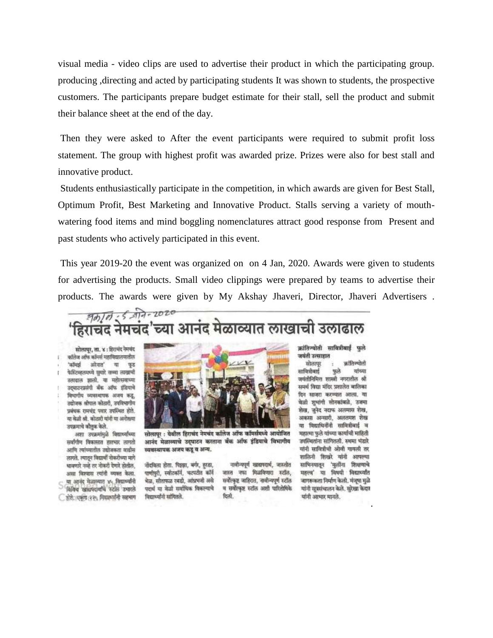visual media - video clips are used to advertise their product in which the participating group. producing ,directing and acted by participating students It was shown to students, the prospective customers. The participants prepare budget estimate for their stall, sell the product and submit their balance sheet at the end of the day.

Then they were asked to After the event participants were required to submit profit loss statement. The group with highest profit was awarded prize. Prizes were also for best stall and innovative product.

Students enthusiastically participate in the competition, in which awards are given for Best Stall, Optimum Profit, Best Marketing and Innovative Product. Stalls serving a variety of mouthwatering food items and mind boggling nomenclatures attract good response from Present and past students who actively participated in this event.

This year 2019-20 the event was organized on on 4 Jan, 2020. Awards were given to students for advertising the products. Small video clippings were prepared by teams to advertise their products. The awards were given by My Akshay Jhaveri, Director, Jhaveri Advertisers .

# $76/0$ नंद मेळाव्यात लाखाची उलाढाल

सोलापुर, ता. ४ : हिराचंद नेमचंद कॉलेज ऑफ कॉमर्स महाविद्यालयातील 'wheel अरेनात' सा  $45$ फेस्टिव्हलमध्ये सुमारे सन्ना लाखाची उत्प्राढाल झाली. या महोत्सवाच्या उदघाटनप्रसंगी बैंक ऑफ इंडियाचे विभागीय व्यवस्थापक अजय कडू, डग्रोवक श्रीपाल कोठारी, उपविभागीय प्रबंधक रामचंद्र पवार उपस्थित होते. या बेळी श्री. कोठारी यांनी या अनोख्या उपझमाचे कोतुक केले.

अशा उपक्रमांमुळे विद्यार्थ्यांच्या सर्वांगीण विकासत हातपार लागतो आणि त्यांच्यातील उद्योजकता वाढीस लागते. त्यातून विद्यार्थी नोकरोच्या मागे धावणारे नव्हे तर नोकरी देणारे होतील, असा विश्वास त्यांनी व्यक्त केला. या आनंद मेळाल्यात ४५ विद्यार्थ्यांनी विविध खाधपदायाँचे स्टोड उभारते िडोरो...एकण २२५ विधानयाँनी सहभाग



सोलापुर : येथील हिराचंद नेमचंद कॉलेज ऑफ कॉमर्समध्ये आयोजित आनंद मेळाल्याचे उद्घाटन करताना बँक ऑफ इंडियाचे विभागीय व्यवस्थापक अजय कडू व अन्य.

नोंदविला होता. पिइझा, बर्गर, हरडा, पाणीपुरी, स्वीटकॉर्न, चटपटीत कॉर्न भेळ, सीताफळ रखडी, आंध्रभनी असे पदार्थ या वेळी सर्वाधिक विकल्पाचे विद्यार्थ्यांनी सांगितले.

नावीन्यपूर्ण खाद्यपदार्थ, जास्तीत जास्त नफा मिळविणारा स्टॉल. सर्वोत्कृष्ट जाहिरात, नावीन्यपूर्ण स्टॉल व सर्वोत्कृष्ट स्टॉल अशी पारितोषिके ਵਿਲੀ.

क्रांतिज्योती सावित्रीबाई फुले जयंती उत्साहात

सोलापुर क्रांतिक्योती सावित्रीबाई योज्या फुले जयंतीनिमित्त शास्त्री नगरातील श्री समर्थ विद्या मंदिर प्रशालेत बालिका दिन साजरा करण्यात आला. या षेळी शुभांगी सोनकांबळे, ठजमा शेख, बुनेद नदाफ अलमास शेख, अकसा अन्सारी, अलतमश शेख या विद्यापिनींनी सावित्रीबाई व महात्मा फुले यांच्या कार्याची माहिती उपस्थितांना सांगितली. रुथमा भंडारे यांनी सावित्रीची ओवी गायली तर शालिनी शिखरे यांनी आपल्या साभिनयातून 'मुलौंना शिक्षणाचे महत्त्व' या विषयी विद्यार्थ्यात जागरूकता निर्माण केली. मंजूषा मुळे यांनी सूत्रसंचालन केले. सुरेखा केदार यांनी आभार मानले.

.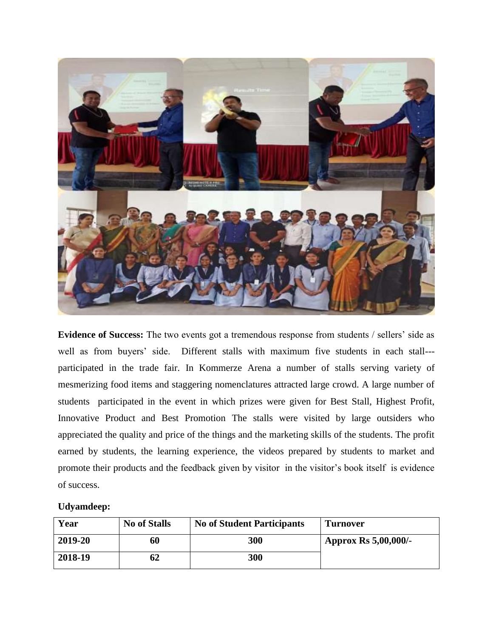

**Evidence of Success:** The two events got a tremendous response from students / sellers' side as well as from buyers' side. Different stalls with maximum five students in each stall-- participated in the trade fair. In Kommerze Arena a number of stalls serving variety of mesmerizing food items and staggering nomenclatures attracted large crowd. A large number of students participated in the event in which prizes were given for Best Stall, Highest Profit, Innovative Product and Best Promotion The stalls were visited by large outsiders who appreciated the quality and price of the things and the marketing skills of the students. The profit earned by students, the learning experience, the videos prepared by students to market and promote their products and the feedback given by visitor in the visitor's book itself is evidence of success.

### **Udyamdeep:**

| Year    | <b>No of Stalls</b> | <b>No of Student Participants</b> | <b>Turnover</b>      |
|---------|---------------------|-----------------------------------|----------------------|
| 2019-20 | 60                  | 300                               | Approx Rs 5,00,000/- |
| 2018-19 | 62                  | 300                               |                      |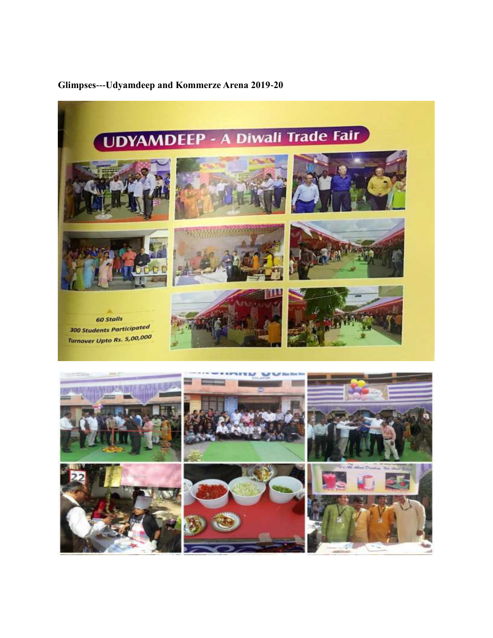